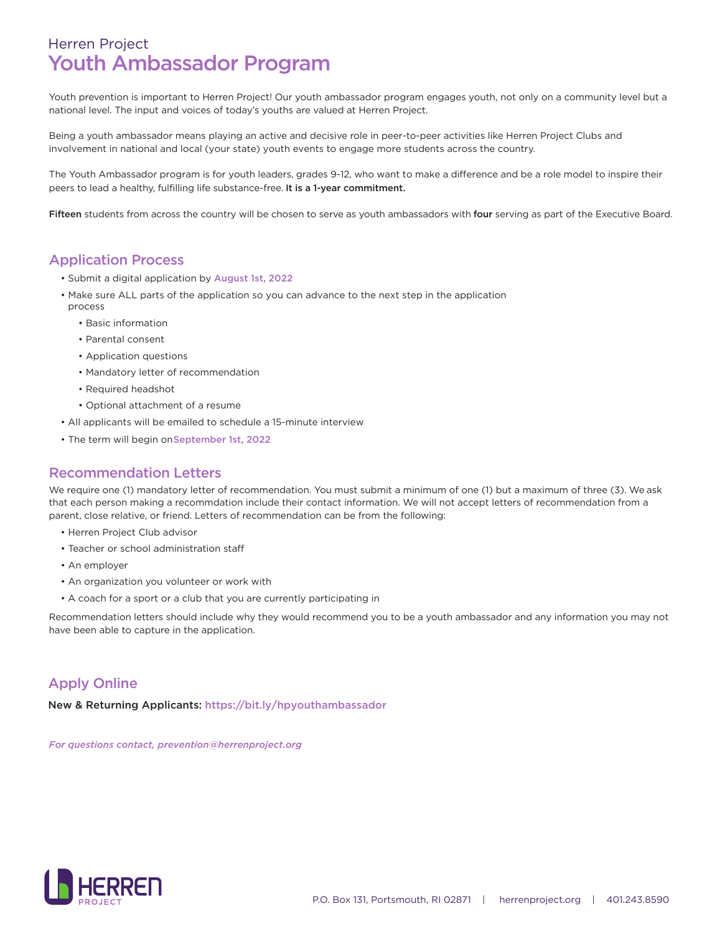# Herren Project Youth Ambassador Program

Youth prevention is important to Herren Project! Our youth ambassador program engages youth, not only on a community level but a national level. The input and voices of today's youths are valued at Herren Project.

Being a youth ambassador means playing an active and decisive role in peer-to-peer activities like Herren Project Clubs and involvement in national and local (your state) youth events to engage more students across the country.

The Youth Ambassador program is for youth leaders, grades 9-12, who want to make a difference and be a role model to inspire their peers to lead a healthy, fulfilling life substance-free. It is a 1-year commitment.

Fifteen students from across the country will be chosen to serve as youth ambassadors with four serving as part of the Executive Board.

#### Application Process

- Submit a digital application by August 1st, 2022
- Make sure ALL parts of the application so you can advance to the next step in the application process
	- Basic information
	- Parental consent
	- Application questions
	- Mandatory letter of recommendation
	- Required headshot
	- Optional attachment of a resume
- All applicants will be emailed to schedule a 15-minute interview
- The term will begin on September 1st, 2022

#### Recommendation Letters

We require one (1) mandatory letter of recommendation. You must submit a minimum of one (1) but a maximum of three (3). We ask that each person making a recommdation include their contact information. We will not accept letters of recommendation from a parent, close relative, or friend. Letters of recommendation can be from the following:

- Herren Project Club advisor
- Teacher or school administration staff
- An employer
- An organization you volunteer or work with
- A coach for a sport or a club that you are currently participating in

Recommendation letters should include why they would recommend you to be a youth ambassador and any information you may not have been able to capture in the application.

## Apply Online

New & Returning Applicants: https://bit.ly/hpyouthambassador

*For questions contact, prevention@herrenproject.org*

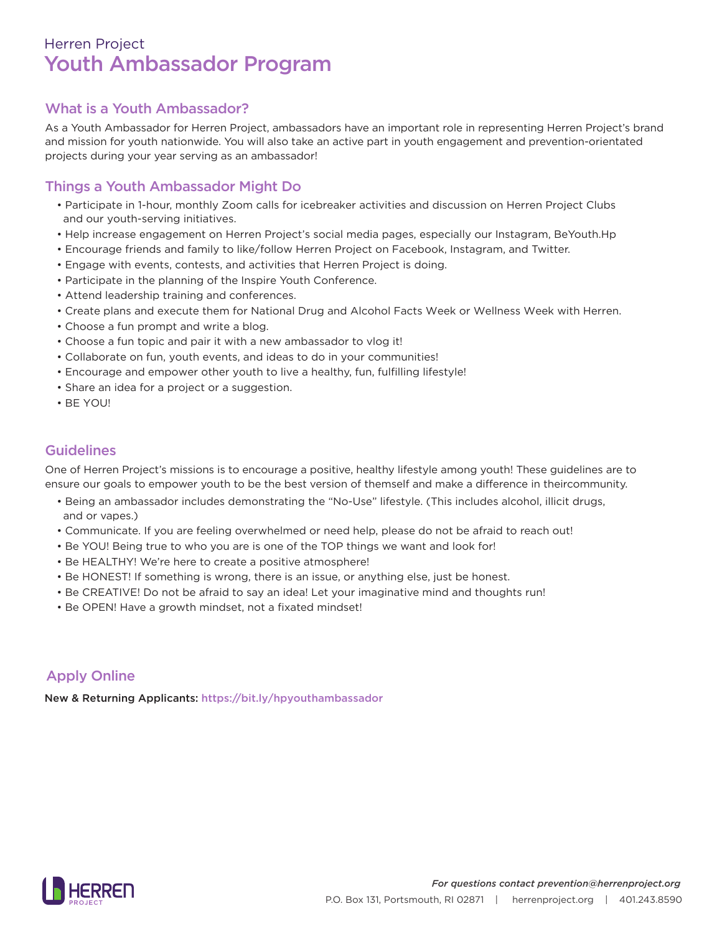# Youth Ambassador Program Herren Project

## What is a Youth Ambassador?

As a Youth Ambassador for Herren Project, ambassadors have an important role in representing Herren Project's brand and mission for youth nationwide. You will also take an active part in youth engagement and prevention-orientated projects during your year serving as an ambassador!

## Things a Youth Ambassador Might Do

- Participate in 1-hour, monthly Zoom calls for icebreaker activities and discussion on Herren Project Clubs and our youth-serving initiatives.
- Help increase engagement on Herren Project's social media pages, especially our Instagram, BeYouth.Hp
- Encourage friends and family to like/follow Herren Project on Facebook, Instagram, and Twitter.
- Engage with events, contests, and activities that Herren Project is doing.
- Participate in the planning of the Inspire Youth Conference.
- Attend leadership training and conferences.
- Create plans and execute them for National Drug and Alcohol Facts Week or Wellness Week with Herren.
- Choose a fun prompt and write a blog.
- Choose a fun topic and pair it with a new ambassador to vlog it!
- Collaborate on fun, youth events, and ideas to do in your communities!
- Encourage and empower other youth to live a healthy, fun, fulfilling lifestyle!
- Share an idea for a project or a suggestion.
- $\cdot$  RF YOU!

## Guidelines

One of Herren Project's missions is to encourage a positive, healthy lifestyle among youth! These guidelines are to ensure our goals to empower youth to be the best version of themself and make a difference in theircommunity.

- Being an ambassador includes demonstrating the "No-Use" lifestyle. (This includes alcohol, illicit drugs, and or vapes.)
- Communicate. If you are feeling overwhelmed or need help, please do not be afraid to reach out!
- Be YOU! Being true to who you are is one of the TOP things we want and look for!
- Be HEALTHY! We're here to create a positive atmosphere!
- Be HONEST! If something is wrong, there is an issue, or anything else, just be honest.
- Be CREATIVE! Do not be afraid to say an idea! Let your imaginative mind and thoughts run!
- Be OPEN! Have a growth mindset, not a fixated mindset!

## Apply Online

New & Returning Applicants: https://bit.ly/hpyouthambassador